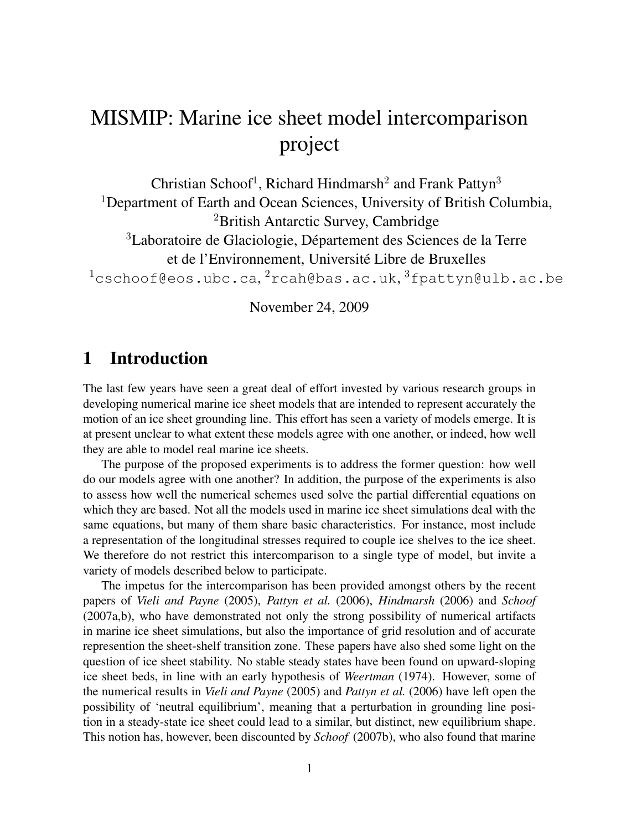# MISMIP: Marine ice sheet model intercomparison project

Christian Schoof<sup>1</sup>, Richard Hindmarsh<sup>2</sup> and Frank Pattyn<sup>3</sup> <sup>1</sup>Department of Earth and Ocean Sciences, University of British Columbia, <sup>2</sup>British Antarctic Survey, Cambridge <sup>3</sup>Laboratoire de Glaciologie, Département des Sciences de la Terre et de l'Environnement, Université Libre de Bruxelles  $^1$ cschoof@eos.ubc.ca, $^2$ rcah@bas.ac.uk, $^3$ fpattyn@ulb.ac.be

November 24, 2009

# 1 Introduction

The last few years have seen a great deal of effort invested by various research groups in developing numerical marine ice sheet models that are intended to represent accurately the motion of an ice sheet grounding line. This effort has seen a variety of models emerge. It is at present unclear to what extent these models agree with one another, or indeed, how well they are able to model real marine ice sheets.

The purpose of the proposed experiments is to address the former question: how well do our models agree with one another? In addition, the purpose of the experiments is also to assess how well the numerical schemes used solve the partial differential equations on which they are based. Not all the models used in marine ice sheet simulations deal with the same equations, but many of them share basic characteristics. For instance, most include a representation of the longitudinal stresses required to couple ice shelves to the ice sheet. We therefore do not restrict this intercomparison to a single type of model, but invite a variety of models described below to participate.

The impetus for the intercomparison has been provided amongst others by the recent papers of *Vieli and Payne* (2005), *Pattyn et al.* (2006), *Hindmarsh* (2006) and *Schoof* (2007a,b), who have demonstrated not only the strong possibility of numerical artifacts in marine ice sheet simulations, but also the importance of grid resolution and of accurate represention the sheet-shelf transition zone. These papers have also shed some light on the question of ice sheet stability. No stable steady states have been found on upward-sloping ice sheet beds, in line with an early hypothesis of *Weertman* (1974). However, some of the numerical results in *Vieli and Payne* (2005) and *Pattyn et al.* (2006) have left open the possibility of 'neutral equilibrium', meaning that a perturbation in grounding line position in a steady-state ice sheet could lead to a similar, but distinct, new equilibrium shape. This notion has, however, been discounted by *Schoof* (2007b), who also found that marine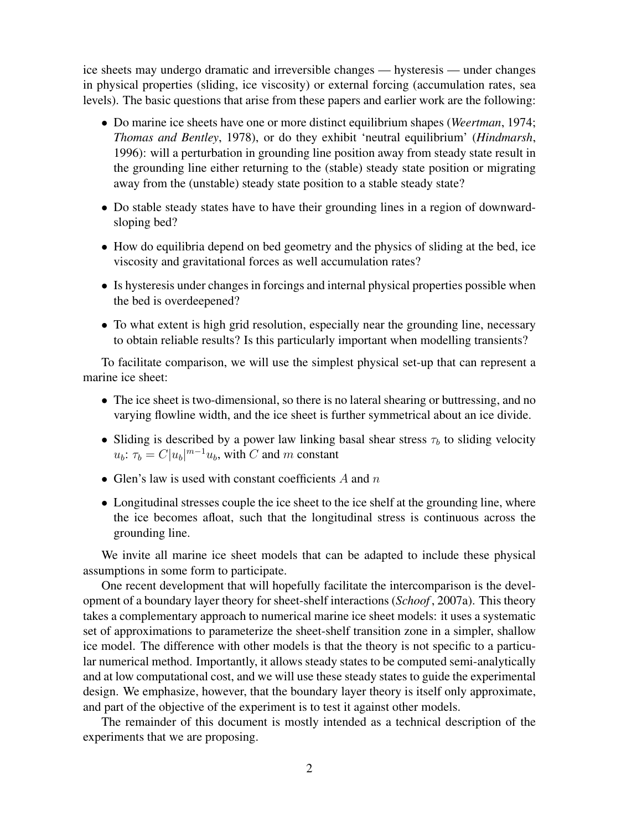ice sheets may undergo dramatic and irreversible changes — hysteresis — under changes in physical properties (sliding, ice viscosity) or external forcing (accumulation rates, sea levels). The basic questions that arise from these papers and earlier work are the following:

- Do marine ice sheets have one or more distinct equilibrium shapes (*Weertman*, 1974; *Thomas and Bentley*, 1978), or do they exhibit 'neutral equilibrium' (*Hindmarsh*, 1996): will a perturbation in grounding line position away from steady state result in the grounding line either returning to the (stable) steady state position or migrating away from the (unstable) steady state position to a stable steady state?
- Do stable steady states have to have their grounding lines in a region of downwardsloping bed?
- How do equilibria depend on bed geometry and the physics of sliding at the bed, ice viscosity and gravitational forces as well accumulation rates?
- Is hysteresis under changes in forcings and internal physical properties possible when the bed is overdeepened?
- To what extent is high grid resolution, especially near the grounding line, necessary to obtain reliable results? Is this particularly important when modelling transients?

To facilitate comparison, we will use the simplest physical set-up that can represent a marine ice sheet:

- The ice sheet is two-dimensional, so there is no lateral shearing or buttressing, and no varying flowline width, and the ice sheet is further symmetrical about an ice divide.
- Sliding is described by a power law linking basal shear stress  $\tau_b$  to sliding velocity  $u_b$ :  $\tau_b = C|u_b|^{m-1}u_b$ , with C and m constant
- Glen's law is used with constant coefficients  $A$  and  $n$
- Longitudinal stresses couple the ice sheet to the ice shelf at the grounding line, where the ice becomes afloat, such that the longitudinal stress is continuous across the grounding line.

We invite all marine ice sheet models that can be adapted to include these physical assumptions in some form to participate.

One recent development that will hopefully facilitate the intercomparison is the development of a boundary layer theory for sheet-shelf interactions (*Schoof* , 2007a). This theory takes a complementary approach to numerical marine ice sheet models: it uses a systematic set of approximations to parameterize the sheet-shelf transition zone in a simpler, shallow ice model. The difference with other models is that the theory is not specific to a particular numerical method. Importantly, it allows steady states to be computed semi-analytically and at low computational cost, and we will use these steady states to guide the experimental design. We emphasize, however, that the boundary layer theory is itself only approximate, and part of the objective of the experiment is to test it against other models.

The remainder of this document is mostly intended as a technical description of the experiments that we are proposing.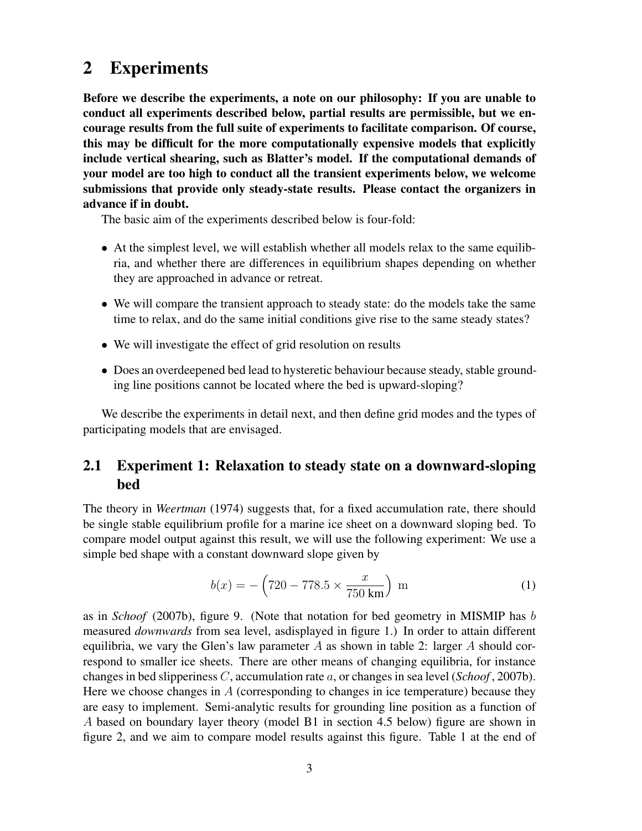# 2 Experiments

Before we describe the experiments, a note on our philosophy: If you are unable to conduct all experiments described below, partial results are permissible, but we encourage results from the full suite of experiments to facilitate comparison. Of course, this may be difficult for the more computationally expensive models that explicitly include vertical shearing, such as Blatter's model. If the computational demands of your model are too high to conduct all the transient experiments below, we welcome submissions that provide only steady-state results. Please contact the organizers in advance if in doubt.

The basic aim of the experiments described below is four-fold:

- At the simplest level, we will establish whether all models relax to the same equilibria, and whether there are differences in equilibrium shapes depending on whether they are approached in advance or retreat.
- We will compare the transient approach to steady state: do the models take the same time to relax, and do the same initial conditions give rise to the same steady states?
- We will investigate the effect of grid resolution on results
- Does an overdeepened bed lead to hysteretic behaviour because steady, stable grounding line positions cannot be located where the bed is upward-sloping?

We describe the experiments in detail next, and then define grid modes and the types of participating models that are envisaged.

## 2.1 Experiment 1: Relaxation to steady state on a downward-sloping bed

The theory in *Weertman* (1974) suggests that, for a fixed accumulation rate, there should be single stable equilibrium profile for a marine ice sheet on a downward sloping bed. To compare model output against this result, we will use the following experiment: We use a simple bed shape with a constant downward slope given by

$$
b(x) = -\left(720 - 778.5 \times \frac{x}{750 \text{ km}}\right) \text{ m}
$$
 (1)

as in *Schoof* (2007b), figure 9. (Note that notation for bed geometry in MISMIP has b measured *downwards* from sea level, asdisplayed in figure 1.) In order to attain different equilibria, we vary the Glen's law parameter A as shown in table 2: larger A should correspond to smaller ice sheets. There are other means of changing equilibria, for instance changes in bed slipperiness C, accumulation rate a, or changes in sea level (*Schoof* , 2007b). Here we choose changes in  $A$  (corresponding to changes in ice temperature) because they are easy to implement. Semi-analytic results for grounding line position as a function of A based on boundary layer theory (model B1 in section 4.5 below) figure are shown in figure 2, and we aim to compare model results against this figure. Table 1 at the end of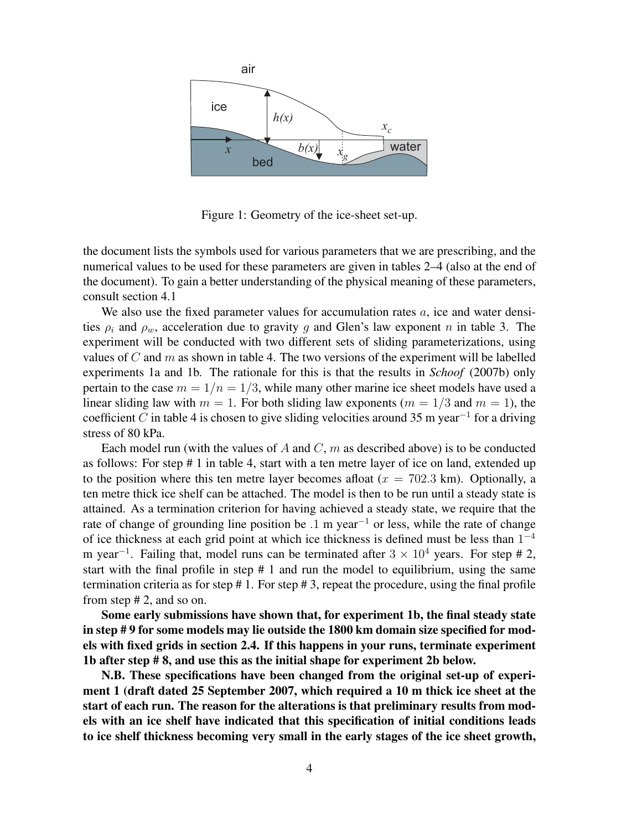

Figure 1: Geometry of the ice-sheet set-up.

the document lists the symbols used for various parameters that we are prescribing, and the numerical values to be used for these parameters are given in tables 2–4 (also at the end of the document). To gain a better understanding of the physical meaning of these parameters, consult section 4.1

We also use the fixed parameter values for accumulation rates  $a$ , ice and water densities  $\rho_i$  and  $\rho_w$ , acceleration due to gravity g and Glen's law exponent n in table 3. The experiment will be conducted with two different sets of sliding parameterizations, using values of  $C$  and  $m$  as shown in table 4. The two versions of the experiment will be labelled experiments 1a and 1b. The rationale for this is that the results in *Schoof* (2007b) only pertain to the case  $m = 1/n = 1/3$ , while many other marine ice sheet models have used a linear sliding law with  $m = 1$ . For both sliding law exponents ( $m = 1/3$  and  $m = 1$ ), the coefficient C in table 4 is chosen to give sliding velocities around 35 m year<sup>-1</sup> for a driving stress of 80 kPa.

Each model run (with the values of A and  $C$ ,  $m$  as described above) is to be conducted as follows: For step # 1 in table 4, start with a ten metre layer of ice on land, extended up to the position where this ten metre layer becomes afloat  $(x = 702.3 \text{ km})$ . Optionally, a ten metre thick ice shelf can be attached. The model is then to be run until a steady state is attained. As a termination criterion for having achieved a steady state, we require that the rate of change of grounding line position be .1 m year<sup>−</sup><sup>1</sup> or less, while the rate of change of ice thickness at each grid point at which ice thickness is defined must be less than  $1^{-4}$ m year<sup>-1</sup>. Failing that, model runs can be terminated after  $3 \times 10^4$  years. For step # 2, start with the final profile in step  $# 1$  and run the model to equilibrium, using the same termination criteria as for step  $\# 1$ . For step  $\# 3$ , repeat the procedure, using the final profile from step # 2, and so on.

Some early submissions have shown that, for experiment 1b, the final steady state in step # 9 for some models may lie outside the 1800 km domain size specified for models with fixed grids in section 2.4. If this happens in your runs, terminate experiment 1b after step # 8, and use this as the initial shape for experiment 2b below.

N.B. These specifications have been changed from the original set-up of experiment 1 (draft dated 25 September 2007, which required a 10 m thick ice sheet at the start of each run. The reason for the alterations is that preliminary results from models with an ice shelf have indicated that this specification of initial conditions leads to ice shelf thickness becoming very small in the early stages of the ice sheet growth,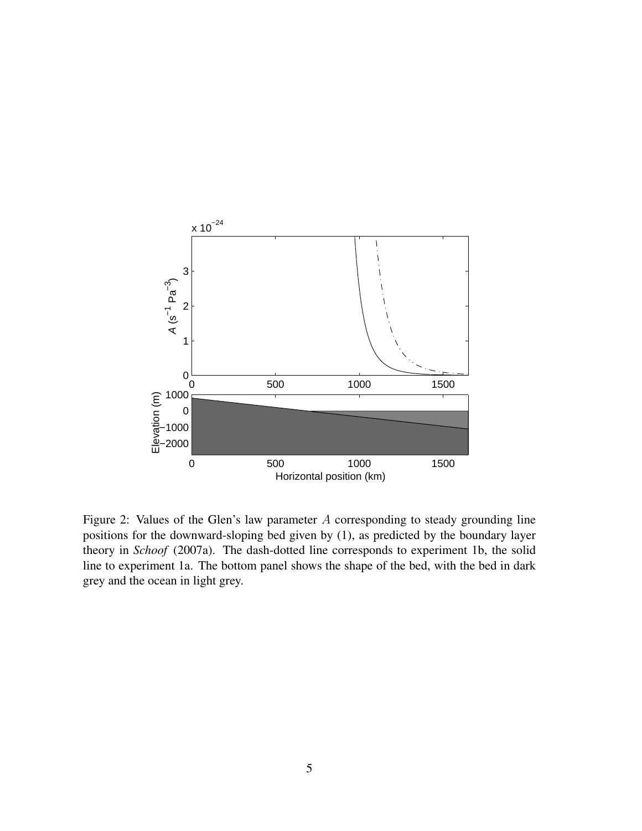

Figure 2: Values of the Glen's law parameter A corresponding to steady grounding line positions for the downward-sloping bed given by (1), as predicted by the boundary layer theory in *Schoof* (2007a). The dash-dotted line corresponds to experiment 1b, the solid line to experiment 1a. The bottom panel shows the shape of the bed, with the bed in dark grey and the ocean in light grey.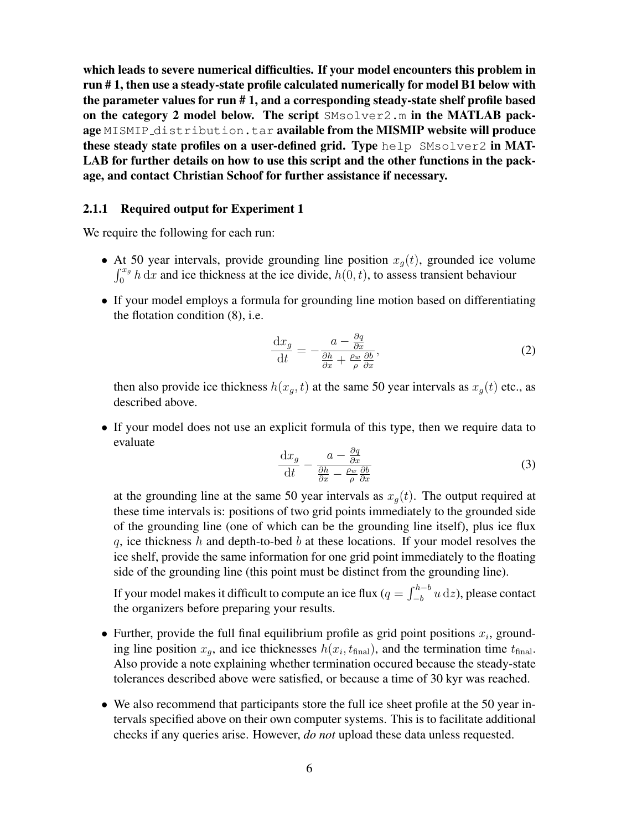which leads to severe numerical difficulties. If your model encounters this problem in run # 1, then use a steady-state profile calculated numerically for model B1 below with the parameter values for run # 1, and a corresponding steady-state shelf profile based on the category 2 model below. The script SMsolver2.m in the MATLAB package MISMIP distribution.tar available from the MISMIP website will produce these steady state profiles on a user-defined grid. Type help  $SMsolver2$  in MAT-LAB for further details on how to use this script and the other functions in the package, and contact Christian Schoof for further assistance if necessary.

#### 2.1.1 Required output for Experiment 1

We require the following for each run:

- At 50 year intervals, provide grounding line position  $x_q(t)$ , grounded ice volume  $\int_0^{x_g} h \, dx$  and ice thickness at the ice divide,  $h(0, t)$ , to assess transient behaviour
- If your model employs a formula for grounding line motion based on differentiating the flotation condition (8), i.e.

$$
\frac{\mathrm{d}x_g}{\mathrm{d}t} = -\frac{a - \frac{\partial q}{\partial x}}{\frac{\partial h}{\partial x} + \frac{\rho_w}{\rho} \frac{\partial b}{\partial x}},\tag{2}
$$

then also provide ice thickness  $h(x_g, t)$  at the same 50 year intervals as  $x_g(t)$  etc., as described above.

• If your model does not use an explicit formula of this type, then we require data to evaluate

$$
\frac{\mathrm{d}x_g}{\mathrm{d}t} - \frac{a - \frac{\partial q}{\partial x}}{\frac{\partial h}{\partial x} - \frac{\rho_w}{\rho} \frac{\partial b}{\partial x}}\tag{3}
$$

at the grounding line at the same 50 year intervals as  $x<sub>q</sub>(t)$ . The output required at these time intervals is: positions of two grid points immediately to the grounded side of the grounding line (one of which can be the grounding line itself), plus ice flux  $q$ , ice thickness h and depth-to-bed b at these locations. If your model resolves the ice shelf, provide the same information for one grid point immediately to the floating side of the grounding line (this point must be distinct from the grounding line).

If your model makes it difficult to compute an ice flux ( $q = \int_{-b}^{h-b} u \,\mathrm{d}z$ ), please contact the organizers before preparing your results.

- Further, provide the full final equilibrium profile as grid point positions  $x_i$ , grounding line position  $x_g$ , and ice thicknesses  $h(x_i, t_{\text{final}})$ , and the termination time  $t_{\text{final}}$ . Also provide a note explaining whether termination occured because the steady-state tolerances described above were satisfied, or because a time of 30 kyr was reached.
- We also recommend that participants store the full ice sheet profile at the 50 year intervals specified above on their own computer systems. This is to facilitate additional checks if any queries arise. However, *do not* upload these data unless requested.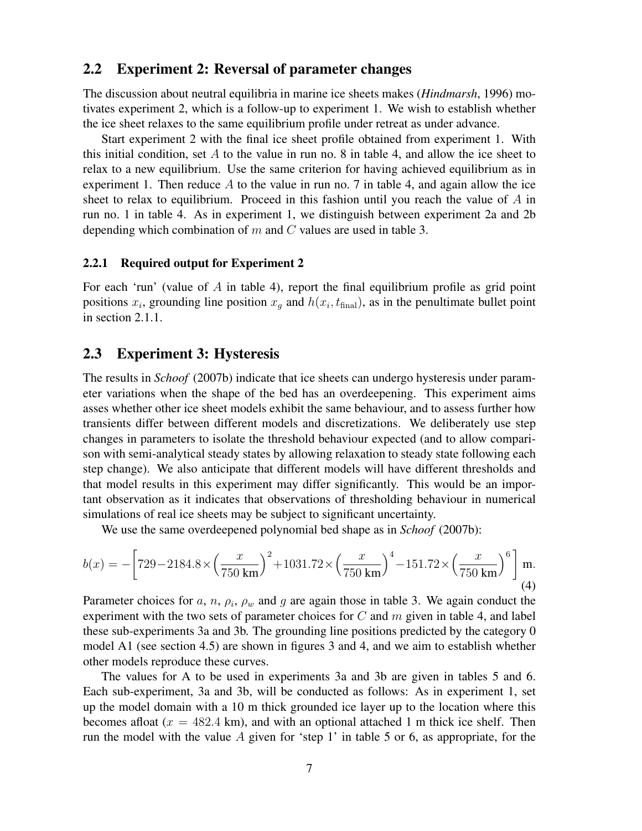#### 2.2 Experiment 2: Reversal of parameter changes

The discussion about neutral equilibria in marine ice sheets makes (*Hindmarsh*, 1996) motivates experiment 2, which is a follow-up to experiment 1. We wish to establish whether the ice sheet relaxes to the same equilibrium profile under retreat as under advance.

Start experiment 2 with the final ice sheet profile obtained from experiment 1. With this initial condition, set A to the value in run no. 8 in table 4, and allow the ice sheet to relax to a new equilibrium. Use the same criterion for having achieved equilibrium as in experiment 1. Then reduce  $\vec{A}$  to the value in run no. 7 in table 4, and again allow the ice sheet to relax to equilibrium. Proceed in this fashion until you reach the value of  $A$  in run no. 1 in table 4. As in experiment 1, we distinguish between experiment 2a and 2b depending which combination of  $m$  and  $C$  values are used in table 3.

#### 2.2.1 Required output for Experiment 2

For each 'run' (value of  $A$  in table 4), report the final equilibrium profile as grid point positions  $x_i$ , grounding line position  $x_g$  and  $h(x_i, t_{\text{final}})$ , as in the penultimate bullet point in section 2.1.1.

#### 2.3 Experiment 3: Hysteresis

The results in *Schoof* (2007b) indicate that ice sheets can undergo hysteresis under parameter variations when the shape of the bed has an overdeepening. This experiment aims asses whether other ice sheet models exhibit the same behaviour, and to assess further how transients differ between different models and discretizations. We deliberately use step changes in parameters to isolate the threshold behaviour expected (and to allow comparison with semi-analytical steady states by allowing relaxation to steady state following each step change). We also anticipate that different models will have different thresholds and that model results in this experiment may differ significantly. This would be an important observation as it indicates that observations of thresholding behaviour in numerical simulations of real ice sheets may be subject to significant uncertainty.

We use the same overdeepened polynomial bed shape as in *Schoof* (2007b):

$$
b(x) = -\left[729 - 2184.8 \times \left(\frac{x}{750 \text{ km}}\right)^2 + 1031.72 \times \left(\frac{x}{750 \text{ km}}\right)^4 - 151.72 \times \left(\frac{x}{750 \text{ km}}\right)^6\right] \text{m.}
$$
\n(4)

Parameter choices for a, n,  $\rho_i$ ,  $\rho_w$  and g are again those in table 3. We again conduct the experiment with the two sets of parameter choices for  $C$  and  $m$  given in table 4, and label these sub-experiments 3a and 3b. The grounding line positions predicted by the category 0 model A1 (see section 4.5) are shown in figures 3 and 4, and we aim to establish whether other models reproduce these curves.

The values for A to be used in experiments 3a and 3b are given in tables 5 and 6. Each sub-experiment, 3a and 3b, will be conducted as follows: As in experiment 1, set up the model domain with a 10 m thick grounded ice layer up to the location where this becomes afloat ( $x = 482.4$  km), and with an optional attached 1 m thick ice shelf. Then run the model with the value A given for 'step 1' in table 5 or 6, as appropriate, for the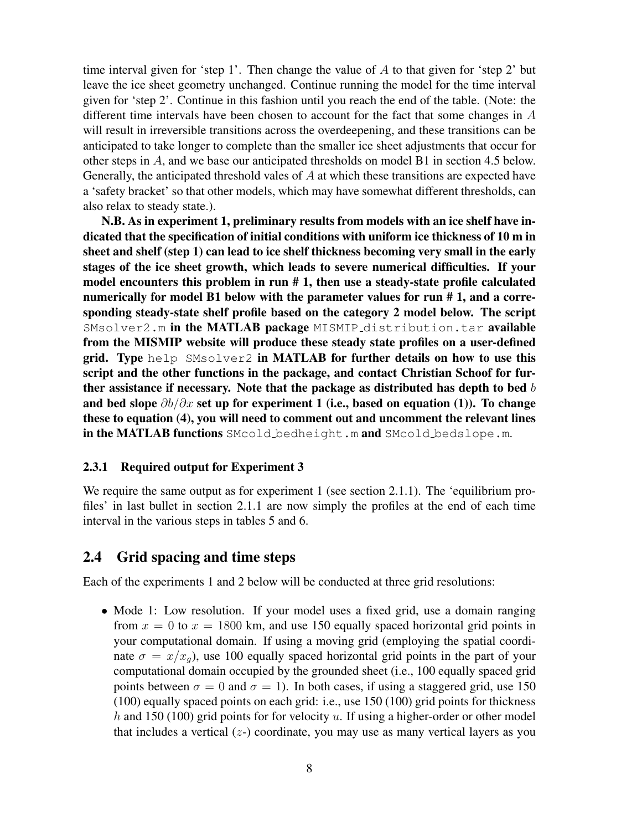time interval given for 'step 1'. Then change the value of  $\tilde{A}$  to that given for 'step 2' but leave the ice sheet geometry unchanged. Continue running the model for the time interval given for 'step 2'. Continue in this fashion until you reach the end of the table. (Note: the different time intervals have been chosen to account for the fact that some changes in A will result in irreversible transitions across the overdeepening, and these transitions can be anticipated to take longer to complete than the smaller ice sheet adjustments that occur for other steps in A, and we base our anticipated thresholds on model B1 in section 4.5 below. Generally, the anticipated threshold vales of A at which these transitions are expected have a 'safety bracket' so that other models, which may have somewhat different thresholds, can also relax to steady state.).

N.B. As in experiment 1, preliminary results from models with an ice shelf have indicated that the specification of initial conditions with uniform ice thickness of 10 m in sheet and shelf (step 1) can lead to ice shelf thickness becoming very small in the early stages of the ice sheet growth, which leads to severe numerical difficulties. If your model encounters this problem in run # 1, then use a steady-state profile calculated numerically for model B1 below with the parameter values for run # 1, and a corresponding steady-state shelf profile based on the category 2 model below. The script  $SMSolver2.m$  in the MATLAB package MISMIP distribution.tar available from the MISMIP website will produce these steady state profiles on a user-defined grid. Type help SMsolver2 in MATLAB for further details on how to use this script and the other functions in the package, and contact Christian Schoof for further assistance if necessary. Note that the package as distributed has depth to bed  $b$ and bed slope  $\partial b/\partial x$  set up for experiment 1 (i.e., based on equation (1)). To change these to equation (4), you will need to comment out and uncomment the relevant lines in the MATLAB functions SMcold bedheight.m and SMcold bedslope.m.

#### 2.3.1 Required output for Experiment 3

We require the same output as for experiment 1 (see section 2.1.1). The 'equilibrium profiles' in last bullet in section 2.1.1 are now simply the profiles at the end of each time interval in the various steps in tables 5 and 6.

### 2.4 Grid spacing and time steps

Each of the experiments 1 and 2 below will be conducted at three grid resolutions:

• Mode 1: Low resolution. If your model uses a fixed grid, use a domain ranging from  $x = 0$  to  $x = 1800$  km, and use 150 equally spaced horizontal grid points in your computational domain. If using a moving grid (employing the spatial coordinate  $\sigma = x/x_a$ , use 100 equally spaced horizontal grid points in the part of your computational domain occupied by the grounded sheet (i.e., 100 equally spaced grid points between  $\sigma = 0$  and  $\sigma = 1$ ). In both cases, if using a staggered grid, use 150 (100) equally spaced points on each grid: i.e., use 150 (100) grid points for thickness h and 150 (100) grid points for for velocity u. If using a higher-order or other model that includes a vertical  $(z)$  coordinate, you may use as many vertical layers as you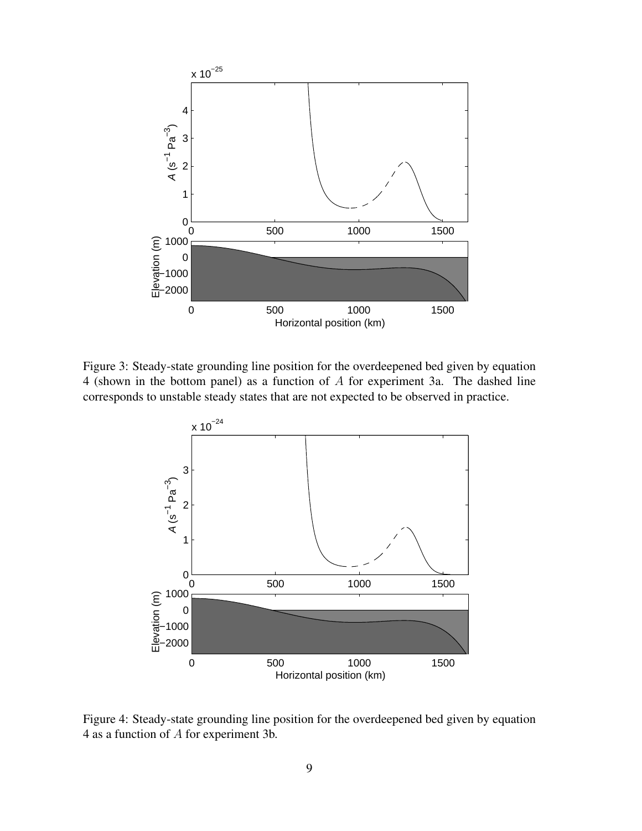

Figure 3: Steady-state grounding line position for the overdeepened bed given by equation 4 (shown in the bottom panel) as a function of A for experiment 3a. The dashed line corresponds to unstable steady states that are not expected to be observed in practice.



Figure 4: Steady-state grounding line position for the overdeepened bed given by equation 4 as a function of A for experiment 3b.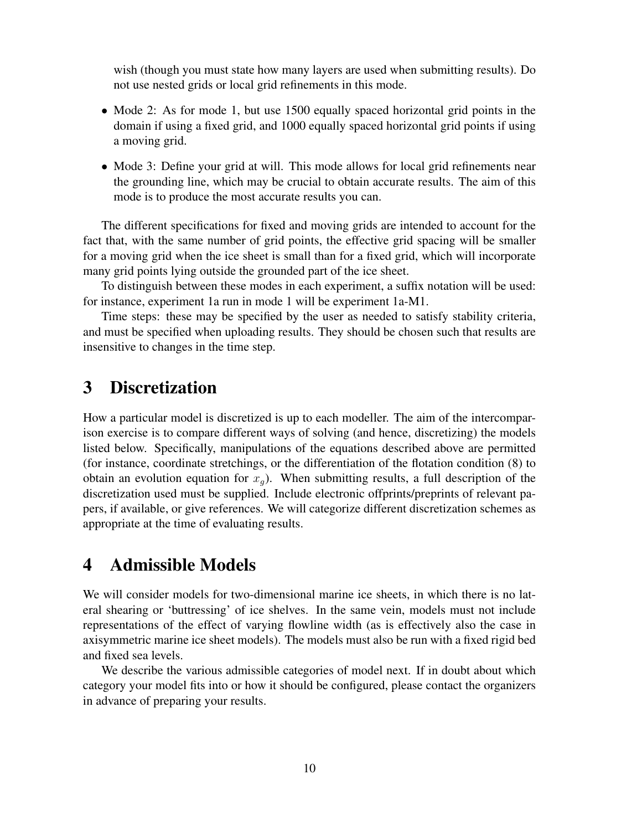wish (though you must state how many layers are used when submitting results). Do not use nested grids or local grid refinements in this mode.

- Mode 2: As for mode 1, but use 1500 equally spaced horizontal grid points in the domain if using a fixed grid, and 1000 equally spaced horizontal grid points if using a moving grid.
- Mode 3: Define your grid at will. This mode allows for local grid refinements near the grounding line, which may be crucial to obtain accurate results. The aim of this mode is to produce the most accurate results you can.

The different specifications for fixed and moving grids are intended to account for the fact that, with the same number of grid points, the effective grid spacing will be smaller for a moving grid when the ice sheet is small than for a fixed grid, which will incorporate many grid points lying outside the grounded part of the ice sheet.

To distinguish between these modes in each experiment, a suffix notation will be used: for instance, experiment 1a run in mode 1 will be experiment 1a-M1.

Time steps: these may be specified by the user as needed to satisfy stability criteria, and must be specified when uploading results. They should be chosen such that results are insensitive to changes in the time step.

# 3 Discretization

How a particular model is discretized is up to each modeller. The aim of the intercomparison exercise is to compare different ways of solving (and hence, discretizing) the models listed below. Specifically, manipulations of the equations described above are permitted (for instance, coordinate stretchings, or the differentiation of the flotation condition (8) to obtain an evolution equation for  $x_q$ ). When submitting results, a full description of the discretization used must be supplied. Include electronic offprints/preprints of relevant papers, if available, or give references. We will categorize different discretization schemes as appropriate at the time of evaluating results.

# 4 Admissible Models

We will consider models for two-dimensional marine ice sheets, in which there is no lateral shearing or 'buttressing' of ice shelves. In the same vein, models must not include representations of the effect of varying flowline width (as is effectively also the case in axisymmetric marine ice sheet models). The models must also be run with a fixed rigid bed and fixed sea levels.

We describe the various admissible categories of model next. If in doubt about which category your model fits into or how it should be configured, please contact the organizers in advance of preparing your results.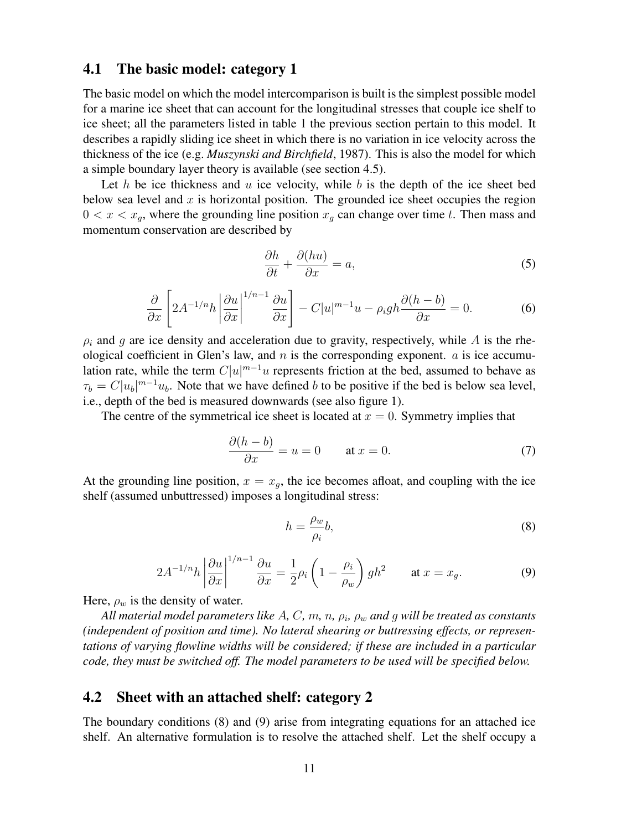#### 4.1 The basic model: category 1

The basic model on which the model intercomparison is built is the simplest possible model for a marine ice sheet that can account for the longitudinal stresses that couple ice shelf to ice sheet; all the parameters listed in table 1 the previous section pertain to this model. It describes a rapidly sliding ice sheet in which there is no variation in ice velocity across the thickness of the ice (e.g. *Muszynski and Birchfield*, 1987). This is also the model for which a simple boundary layer theory is available (see section 4.5).

Let h be ice thickness and  $u$  ice velocity, while  $b$  is the depth of the ice sheet bed below sea level and  $x$  is horizontal position. The grounded ice sheet occupies the region  $0 < x < x_q$ , where the grounding line position  $x_q$  can change over time t. Then mass and momentum conservation are described by

$$
\frac{\partial h}{\partial t} + \frac{\partial (hu)}{\partial x} = a,\tag{5}
$$

$$
\frac{\partial}{\partial x} \left[ 2A^{-1/n} h \left| \frac{\partial u}{\partial x} \right|^{1/n-1} \frac{\partial u}{\partial x} \right] - C|u|^{m-1} u - \rho_i g h \frac{\partial (h-b)}{\partial x} = 0. \tag{6}
$$

 $\rho_i$  and g are ice density and acceleration due to gravity, respectively, while A is the rheological coefficient in Glen's law, and  $n$  is the corresponding exponent.  $\alpha$  is ice accumulation rate, while the term  $C|u|^{m-1}u$  represents friction at the bed, assumed to behave as  $\tau_b = C |u_b|^{m-1} u_b$ . Note that we have defined b to be positive if the bed is below sea level, i.e., depth of the bed is measured downwards (see also figure 1).

The centre of the symmetrical ice sheet is located at  $x = 0$ . Symmetry implies that

$$
\frac{\partial (h-b)}{\partial x} = u = 0 \quad \text{at } x = 0. \tag{7}
$$

At the grounding line position,  $x = x_q$ , the ice becomes afloat, and coupling with the ice shelf (assumed unbuttressed) imposes a longitudinal stress:

$$
h = \frac{\rho_w}{\rho_i} b,\tag{8}
$$

$$
2A^{-1/n}h\left|\frac{\partial u}{\partial x}\right|^{1/n-1}\frac{\partial u}{\partial x} = \frac{1}{2}\rho_i\left(1 - \frac{\rho_i}{\rho_w}\right)gh^2 \qquad \text{at } x = x_g. \tag{9}
$$

Here,  $\rho_w$  is the density of water.

*All material model parameters like* A*,* C*,* m*,* n*,* ρ<sup>i</sup> *,* ρ<sup>w</sup> *and* g *will be treated as constants (independent of position and time). No lateral shearing or buttressing effects, or representations of varying flowline widths will be considered; if these are included in a particular code, they must be switched off. The model parameters to be used will be specified below.*

### 4.2 Sheet with an attached shelf: category 2

The boundary conditions (8) and (9) arise from integrating equations for an attached ice shelf. An alternative formulation is to resolve the attached shelf. Let the shelf occupy a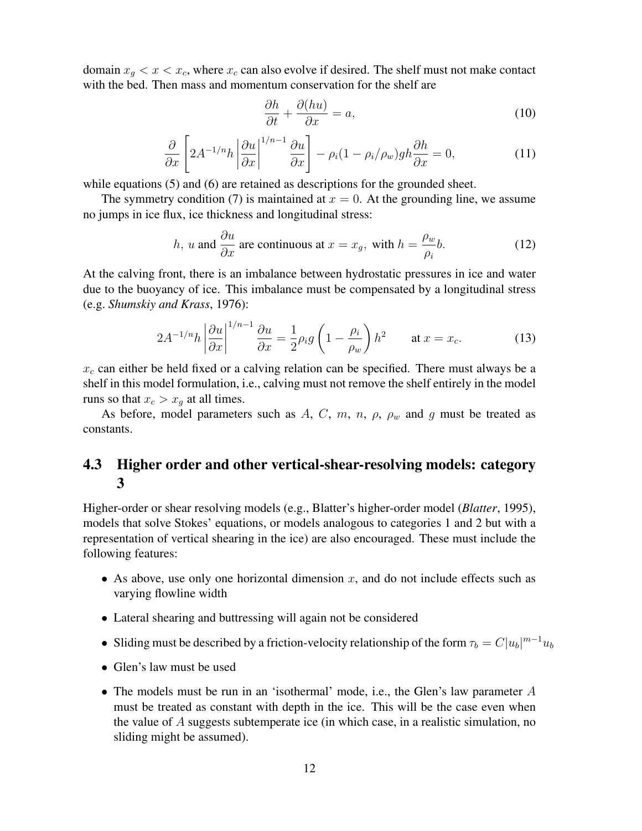domain  $x_q < x < x_c$ , where  $x_c$  can also evolve if desired. The shelf must not make contact with the bed. Then mass and momentum conservation for the shelf are

$$
\frac{\partial h}{\partial t} + \frac{\partial (hu)}{\partial x} = a,\tag{10}
$$

$$
\frac{\partial}{\partial x}\left[2A^{-1/n}h\left|\frac{\partial u}{\partial x}\right|^{1/n-1}\frac{\partial u}{\partial x}\right]-\rho_i(1-\rho_i/\rho_w)gh\frac{\partial h}{\partial x}=0,\tag{11}
$$

while equations (5) and (6) are retained as descriptions for the grounded sheet.

The symmetry condition (7) is maintained at  $x = 0$ . At the grounding line, we assume no jumps in ice flux, ice thickness and longitudinal stress:

*h*, *u* and 
$$
\frac{\partial u}{\partial x}
$$
 are continuous at  $x = x_g$ , with  $h = \frac{\rho_w}{\rho_i}b$ . (12)

At the calving front, there is an imbalance between hydrostatic pressures in ice and water due to the buoyancy of ice. This imbalance must be compensated by a longitudinal stress (e.g. *Shumskiy and Krass*, 1976):

$$
2A^{-1/n}h\left|\frac{\partial u}{\partial x}\right|^{1/n-1}\frac{\partial u}{\partial x} = \frac{1}{2}\rho_i g\left(1 - \frac{\rho_i}{\rho_w}\right)h^2 \qquad \text{at } x = x_c.
$$
 (13)

 $x_c$  can either be held fixed or a calving relation can be specified. There must always be a shelf in this model formulation, i.e., calving must not remove the shelf entirely in the model runs so that  $x_c > x_q$  at all times.

As before, model parameters such as A, C, m, n,  $\rho$ ,  $\rho_w$  and g must be treated as constants.

## 4.3 Higher order and other vertical-shear-resolving models: category 3

Higher-order or shear resolving models (e.g., Blatter's higher-order model (*Blatter*, 1995), models that solve Stokes' equations, or models analogous to categories 1 and 2 but with a representation of vertical shearing in the ice) are also encouraged. These must include the following features:

- As above, use only one horizontal dimension  $x$ , and do not include effects such as varying flowline width
- Lateral shearing and buttressing will again not be considered
- Sliding must be described by a friction-velocity relationship of the form  $\tau_b = C|u_b|^{m-1}u_b$
- Glen's law must be used
- The models must be run in an 'isothermal' mode, i.e., the Glen's law parameter A must be treated as constant with depth in the ice. This will be the case even when the value of  $A$  suggests subtemperate ice (in which case, in a realistic simulation, no sliding might be assumed).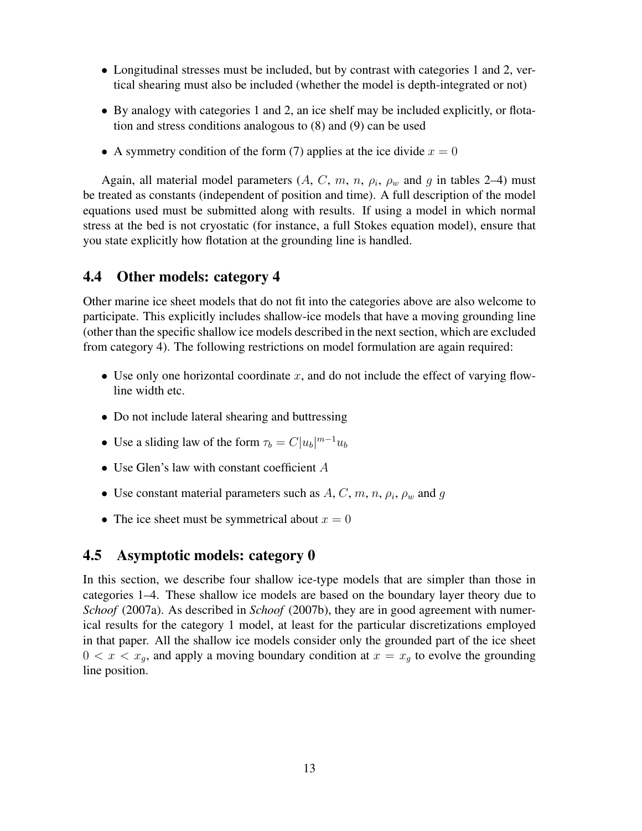- Longitudinal stresses must be included, but by contrast with categories 1 and 2, vertical shearing must also be included (whether the model is depth-integrated or not)
- By analogy with categories 1 and 2, an ice shelf may be included explicitly, or flotation and stress conditions analogous to (8) and (9) can be used
- A symmetry condition of the form (7) applies at the ice divide  $x = 0$

Again, all material model parameters  $(A, C, m, n, \rho_i, \rho_w$  and g in tables 2–4) must be treated as constants (independent of position and time). A full description of the model equations used must be submitted along with results. If using a model in which normal stress at the bed is not cryostatic (for instance, a full Stokes equation model), ensure that you state explicitly how flotation at the grounding line is handled.

### 4.4 Other models: category 4

Other marine ice sheet models that do not fit into the categories above are also welcome to participate. This explicitly includes shallow-ice models that have a moving grounding line (other than the specific shallow ice models described in the next section, which are excluded from category 4). The following restrictions on model formulation are again required:

- Use only one horizontal coordinate  $x$ , and do not include the effect of varying flowline width etc.
- Do not include lateral shearing and buttressing
- Use a sliding law of the form  $\tau_b = C|u_b|^{m-1}u_b$
- Use Glen's law with constant coefficient A
- Use constant material parameters such as  $A, C, m, n, \rho_i, \rho_w$  and g
- The ice sheet must be symmetrical about  $x = 0$

### 4.5 Asymptotic models: category 0

In this section, we describe four shallow ice-type models that are simpler than those in categories 1–4. These shallow ice models are based on the boundary layer theory due to *Schoof* (2007a). As described in *Schoof* (2007b), they are in good agreement with numerical results for the category 1 model, at least for the particular discretizations employed in that paper. All the shallow ice models consider only the grounded part of the ice sheet  $0 < x < x_g$ , and apply a moving boundary condition at  $x = x_g$  to evolve the grounding line position.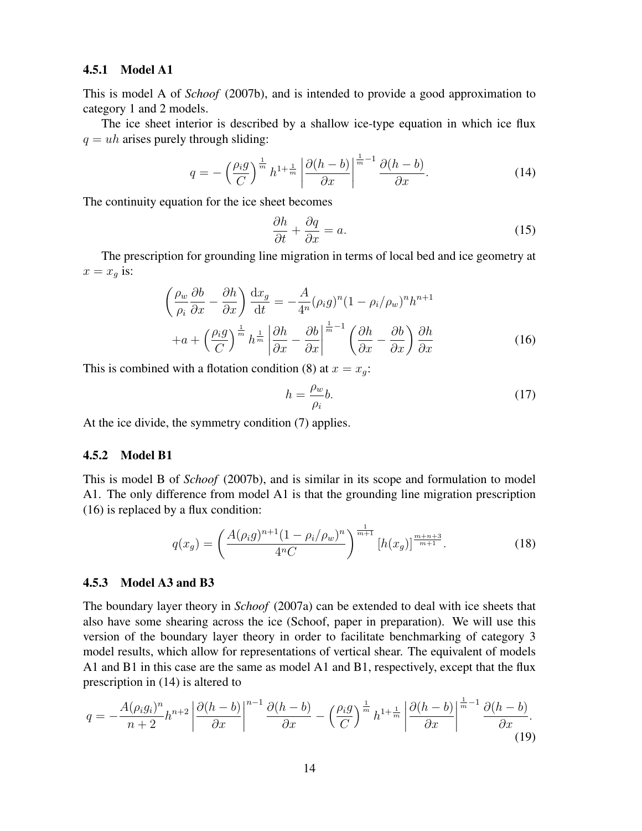#### 4.5.1 Model A1

This is model A of *Schoof* (2007b), and is intended to provide a good approximation to category 1 and 2 models.

The ice sheet interior is described by a shallow ice-type equation in which ice flux  $q = uh$  arises purely through sliding:

$$
q = -\left(\frac{\rho_i g}{C}\right)^{\frac{1}{m}} h^{1+\frac{1}{m}} \left|\frac{\partial (h-b)}{\partial x}\right|^{\frac{1}{m}-1} \frac{\partial (h-b)}{\partial x}.
$$
 (14)

The continuity equation for the ice sheet becomes

$$
\frac{\partial h}{\partial t} + \frac{\partial q}{\partial x} = a.
$$
 (15)

The prescription for grounding line migration in terms of local bed and ice geometry at  $x = x_q$  is:

$$
\left(\frac{\rho_w}{\rho_i} \frac{\partial b}{\partial x} - \frac{\partial h}{\partial x}\right) \frac{dx_g}{dt} = -\frac{A}{4^n} (\rho_i g)^n (1 - \rho_i / \rho_w)^n h^{n+1} + a + \left(\frac{\rho_i g}{C}\right)^{\frac{1}{m}} h^{\frac{1}{m}} \left| \frac{\partial h}{\partial x} - \frac{\partial b}{\partial x} \right|^{\frac{1}{m}-1} \left( \frac{\partial h}{\partial x} - \frac{\partial b}{\partial x} \right) \frac{\partial h}{\partial x}
$$
(16)

This is combined with a flotation condition (8) at  $x = x_g$ :

$$
h = \frac{\rho_w}{\rho_i} b. \tag{17}
$$

At the ice divide, the symmetry condition (7) applies.

#### 4.5.2 Model B1

This is model B of *Schoof* (2007b), and is similar in its scope and formulation to model A1. The only difference from model A1 is that the grounding line migration prescription (16) is replaced by a flux condition:

$$
q(x_g) = \left(\frac{A(\rho_i g)^{n+1} (1 - \rho_i / \rho_w)^n}{4^n C}\right)^{\frac{1}{m+1}} [h(x_g)]^{\frac{m+n+3}{m+1}}.
$$
 (18)

#### 4.5.3 Model A3 and B3

The boundary layer theory in *Schoof* (2007a) can be extended to deal with ice sheets that also have some shearing across the ice (Schoof, paper in preparation). We will use this version of the boundary layer theory in order to facilitate benchmarking of category 3 model results, which allow for representations of vertical shear. The equivalent of models A1 and B1 in this case are the same as model A1 and B1, respectively, except that the flux prescription in (14) is altered to

$$
q = -\frac{A(\rho_i g_i)^n}{n+2} h^{n+2} \left| \frac{\partial (h-b)}{\partial x} \right|^{n-1} \frac{\partial (h-b)}{\partial x} - \left( \frac{\rho_i g}{C} \right)^{\frac{1}{m}} h^{1+\frac{1}{m}} \left| \frac{\partial (h-b)}{\partial x} \right|^{\frac{1}{m}-1} \frac{\partial (h-b)}{\partial x}.
$$
\n(19)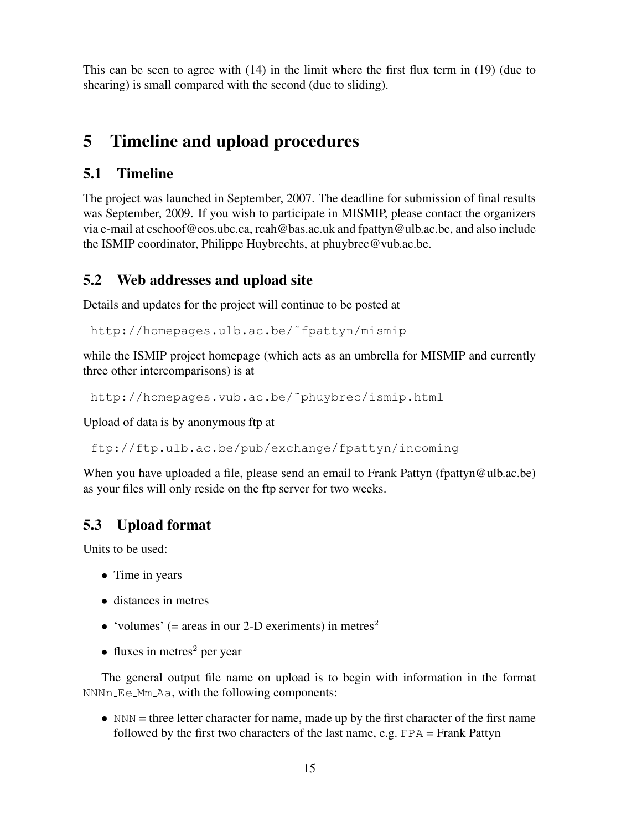This can be seen to agree with (14) in the limit where the first flux term in (19) (due to shearing) is small compared with the second (due to sliding).

# 5 Timeline and upload procedures

# 5.1 Timeline

The project was launched in September, 2007. The deadline for submission of final results was September, 2009. If you wish to participate in MISMIP, please contact the organizers via e-mail at cschoof@eos.ubc.ca, rcah@bas.ac.uk and fpattyn@ulb.ac.be, and also include the ISMIP coordinator, Philippe Huybrechts, at phuybrec@vub.ac.be.

## 5.2 Web addresses and upload site

Details and updates for the project will continue to be posted at

http://homepages.ulb.ac.be/˜fpattyn/mismip

while the ISMIP project homepage (which acts as an umbrella for MISMIP and currently three other intercomparisons) is at

http://homepages.vub.ac.be/˜phuybrec/ismip.html

Upload of data is by anonymous ftp at

ftp://ftp.ulb.ac.be/pub/exchange/fpattyn/incoming

When you have uploaded a file, please send an email to Frank Pattyn (fpattyn@ulb.ac.be) as your files will only reside on the ftp server for two weeks.

# 5.3 Upload format

Units to be used:

- Time in years
- distances in metres
- 'volumes' (= areas in our 2-D exeriments) in metres<sup>2</sup>
- fluxes in metres<sup>2</sup> per year

The general output file name on upload is to begin with information in the format NNNn Ee Mm Aa, with the following components:

• NNN = three letter character for name, made up by the first character of the first name followed by the first two characters of the last name, e.g. FPA = Frank Pattyn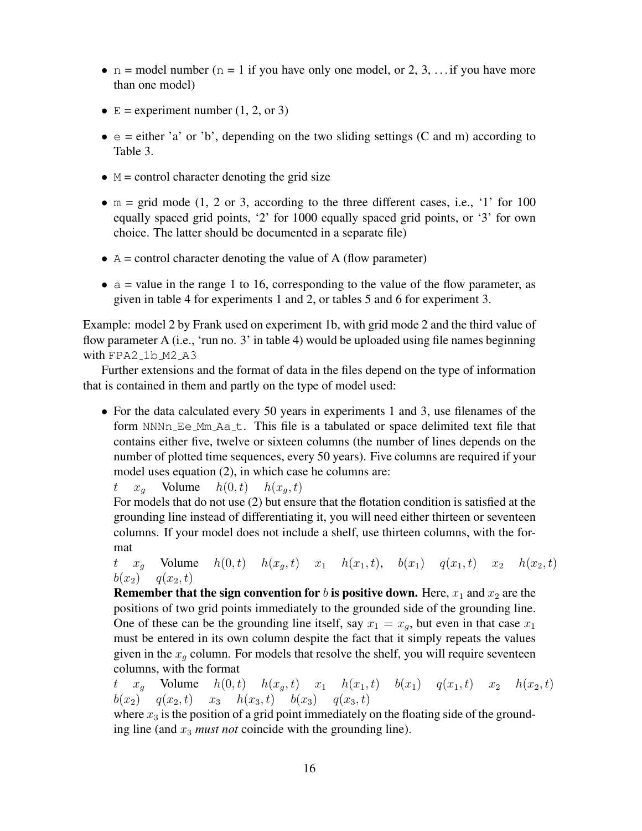- n = model number (n = 1 if you have only one model, or 2, 3, ... if you have more than one model)
- $E =$  experiment number (1, 2, or 3)
- $\bullet$  e = either 'a' or 'b', depending on the two sliding settings (C and m) according to Table 3.
- $\bullet$  M = control character denoting the grid size
- $m = \text{grid mode } (1, 2 \text{ or } 3, \text{ according to the three different cases, i.e., '1' for 100})$ equally spaced grid points, '2' for 1000 equally spaced grid points, or '3' for own choice. The latter should be documented in a separate file)
- $\bullet$  A = control character denoting the value of A (flow parameter)
- $\bullet$  a = value in the range 1 to 16, corresponding to the value of the flow parameter, as given in table 4 for experiments 1 and 2, or tables 5 and 6 for experiment 3.

Example: model 2 by Frank used on experiment 1b, with grid mode 2 and the third value of flow parameter A (i.e., 'run no. 3' in table 4) would be uploaded using file names beginning with FPA2\_1b\_M2\_A3

Further extensions and the format of data in the files depend on the type of information that is contained in them and partly on the type of model used:

• For the data calculated every 50 years in experiments 1 and 3, use filenames of the form NNNn\_Ee\_Mm\_Aa\_t. This file is a tabulated or space delimited text file that contains either five, twelve or sixteen columns (the number of lines depends on the number of plotted time sequences, every 50 years). Five columns are required if your model uses equation (2), in which case he columns are:

 $t \quad x_q$  Volume  $h(0, t)$   $h(x_q, t)$ 

For models that do not use (2) but ensure that the flotation condition is satisfied at the grounding line instead of differentiating it, you will need either thirteen or seventeen columns. If your model does not include a shelf, use thirteen columns, with the format

t  $x_a$  Volume  $h(0, t)$   $h(x_a, t)$   $x_1$   $h(x_1, t)$ ,  $b(x_1)$   $q(x_1, t)$   $x_2$   $h(x_2, t)$  $b(x_2)$   $q(x_2, t)$ 

**Remember that the sign convention for b is positive down.** Here,  $x_1$  and  $x_2$  are the positions of two grid points immediately to the grounded side of the grounding line. One of these can be the grounding line itself, say  $x_1 = x_q$ , but even in that case  $x_1$ must be entered in its own column despite the fact that it simply repeats the values given in the  $x_q$  column. For models that resolve the shelf, you will require seventeen columns, with the format

t  $x_g$  Volume  $h(0, t)$   $h(x_g, t)$   $x_1$   $h(x_1, t)$   $b(x_1)$   $q(x_1, t)$   $x_2$   $h(x_2, t)$  $b(x_2)$   $q(x_2, t)$   $x_3$   $h(x_3, t)$   $b(x_3)$   $q(x_3, t)$ 

where  $x_3$  is the position of a grid point immediately on the floating side of the grounding line (and  $x_3$  *must not* coincide with the grounding line).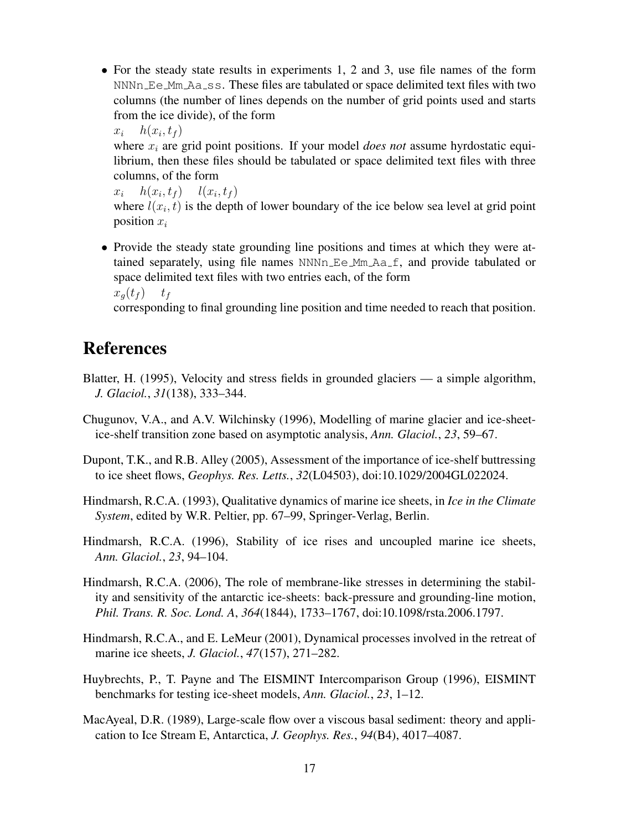- For the steady state results in experiments 1, 2 and 3, use file names of the form  $NNNn$  Ee  $Mm$  Aa  $\text{ss}$ . These files are tabulated or space delimited text files with two columns (the number of lines depends on the number of grid points used and starts from the ice divide), of the form
	- $x_i$   $h(x_i, t_f)$

where  $x_i$  are grid point positions. If your model *does not* assume hyrdostatic equilibrium, then these files should be tabulated or space delimited text files with three columns, of the form

 $x_i$   $h(x_i, t_f)$   $l(x_i, t_f)$ where  $l(x_i, t)$  is the depth of lower boundary of the ice below sea level at grid point position  $x_i$ 

• Provide the steady state grounding line positions and times at which they were attained separately, using file names  $NNNn$  Ee  $Mm$  Aa f, and provide tabulated or space delimited text files with two entries each, of the form  $x_q(t_f)$   $t_f$ 

corresponding to final grounding line position and time needed to reach that position.

# References

- Blatter, H. (1995), Velocity and stress fields in grounded glaciers a simple algorithm, *J. Glaciol.*, *31*(138), 333–344.
- Chugunov, V.A., and A.V. Wilchinsky (1996), Modelling of marine glacier and ice-sheetice-shelf transition zone based on asymptotic analysis, *Ann. Glaciol.*, *23*, 59–67.
- Dupont, T.K., and R.B. Alley (2005), Assessment of the importance of ice-shelf buttressing to ice sheet flows, *Geophys. Res. Letts.*, *32*(L04503), doi:10.1029/2004GL022024.
- Hindmarsh, R.C.A. (1993), Qualitative dynamics of marine ice sheets, in *Ice in the Climate System*, edited by W.R. Peltier, pp. 67–99, Springer-Verlag, Berlin.
- Hindmarsh, R.C.A. (1996), Stability of ice rises and uncoupled marine ice sheets, *Ann. Glaciol.*, *23*, 94–104.
- Hindmarsh, R.C.A. (2006), The role of membrane-like stresses in determining the stability and sensitivity of the antarctic ice-sheets: back-pressure and grounding-line motion, *Phil. Trans. R. Soc. Lond. A*, *364*(1844), 1733–1767, doi:10.1098/rsta.2006.1797.
- Hindmarsh, R.C.A., and E. LeMeur (2001), Dynamical processes involved in the retreat of marine ice sheets, *J. Glaciol.*, *47*(157), 271–282.
- Huybrechts, P., T. Payne and The EISMINT Intercomparison Group (1996), EISMINT benchmarks for testing ice-sheet models, *Ann. Glaciol.*, *23*, 1–12.
- MacAyeal, D.R. (1989), Large-scale flow over a viscous basal sediment: theory and application to Ice Stream E, Antarctica, *J. Geophys. Res.*, *94*(B4), 4017–4087.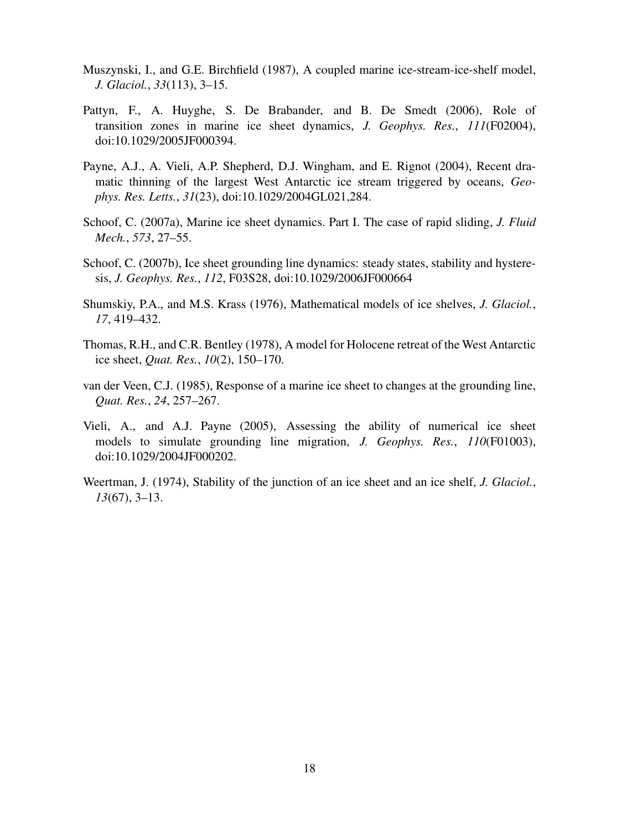- Muszynski, I., and G.E. Birchfield (1987), A coupled marine ice-stream-ice-shelf model, *J. Glaciol.*, *33*(113), 3–15.
- Pattyn, F., A. Huyghe, S. De Brabander, and B. De Smedt (2006), Role of transition zones in marine ice sheet dynamics, *J. Geophys. Res.*, *111*(F02004), doi:10.1029/2005JF000394.
- Payne, A.J., A. Vieli, A.P. Shepherd, D.J. Wingham, and E. Rignot (2004), Recent dramatic thinning of the largest West Antarctic ice stream triggered by oceans, *Geophys. Res. Letts.*, *31*(23), doi:10.1029/2004GL021,284.
- Schoof, C. (2007a), Marine ice sheet dynamics. Part I. The case of rapid sliding, *J. Fluid Mech.*, *573*, 27–55.
- Schoof, C. (2007b), Ice sheet grounding line dynamics: steady states, stability and hysteresis, *J. Geophys. Res.*, *112*, F03S28, doi:10.1029/2006JF000664
- Shumskiy, P.A., and M.S. Krass (1976), Mathematical models of ice shelves, *J. Glaciol.*, *17*, 419–432.
- Thomas, R.H., and C.R. Bentley (1978), A model for Holocene retreat of the West Antarctic ice sheet, *Quat. Res.*, *10*(2), 150–170.
- van der Veen, C.J. (1985), Response of a marine ice sheet to changes at the grounding line, *Quat. Res.*, *24*, 257–267.
- Vieli, A., and A.J. Payne (2005), Assessing the ability of numerical ice sheet models to simulate grounding line migration, *J. Geophys. Res.*, *110*(F01003), doi:10.1029/2004JF000202.
- Weertman, J. (1974), Stability of the junction of an ice sheet and an ice shelf, *J. Glaciol.*, *13*(67), 3–13.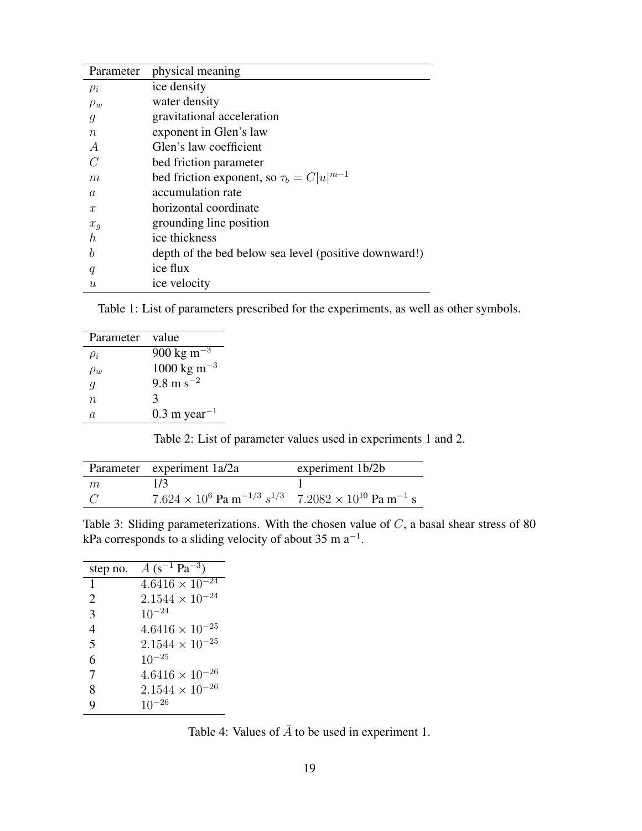| Parameter        | physical meaning                                      |
|------------------|-------------------------------------------------------|
| $\rho_i$         | ice density                                           |
| $\rho_w$         | water density                                         |
| g                | gravitational acceleration                            |
| $\it{n}$         | exponent in Glen's law                                |
| $\overline{A}$   | Glen's law coefficient                                |
| $\mathcal{C}^*$  | bed friction parameter                                |
| m                | bed friction exponent, so $\tau_b = C u ^{m-1}$       |
| $\alpha$         | accumulation rate                                     |
| $\mathcal{X}$    | horizontal coordinate                                 |
| $x_g$            | grounding line position                               |
| h.               | ice thickness                                         |
| h                | depth of the bed below sea level (positive downward!) |
| q                | ice flux                                              |
| $\boldsymbol{u}$ | ice velocity                                          |

Table 1: List of parameters prescribed for the experiments, as well as other symbols.

| Parameter | value                             |
|-----------|-----------------------------------|
| $\mu_i$   | $900 \text{ kg m}^{-3}$           |
| $\rho_w$  | $1000 \text{ kg m}^{-3}$          |
| q         | $9.8 \text{ m s}^{-2}$            |
| $n\,$     | 3                                 |
| A.        | $0.3 \text{ m} \text{ year}^{-1}$ |

Table 2: List of parameter values used in experiments 1 and 2.

|   | Parameter experiment 1a/2a                                                                               | experiment 1b/2b |
|---|----------------------------------------------------------------------------------------------------------|------------------|
| m | 1/3                                                                                                      |                  |
|   | $7.624 \times 10^6$ Pa m <sup>-1/3</sup> $s^{1/3}$ 7.2082 $\times$ 10 <sup>10</sup> Pa m <sup>-1</sup> s |                  |

Table 3: Sliding parameterizations. With the chosen value of C, a basal shear stress of 80 kPa corresponds to a sliding velocity of about 35 m  $a^{-1}$ .

| step no. | $A (s^{-1} Pa^{-3})$     |
|----------|--------------------------|
| 1        | $4.6416 \times 10^{-24}$ |
| 2        | $2.1544 \times 10^{-24}$ |
| 3        | $10^{-24}$               |
| 4        | $4.6416 \times 10^{-25}$ |
| 5        | $2.1544 \times 10^{-25}$ |
| 6        | $10^{-25}$               |
| 7        | $4.6416 \times 10^{-26}$ |
| 8        | $2.1544 \times 10^{-26}$ |
| q        | -26                      |

Table 4: Values of  $\overline{A}$  to be used in experiment 1.